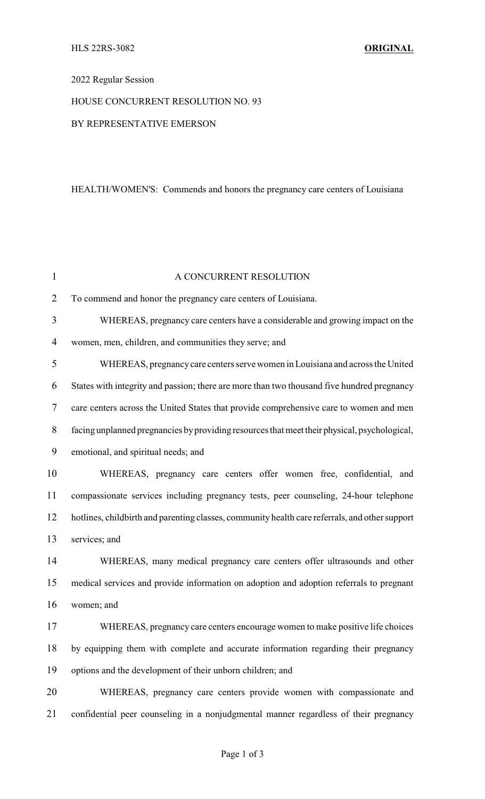# 2022 Regular Session

### HOUSE CONCURRENT RESOLUTION NO. 93

#### BY REPRESENTATIVE EMERSON

# HEALTH/WOMEN'S: Commends and honors the pregnancy care centers of Louisiana

| $\mathbf{1}$   | A CONCURRENT RESOLUTION                                                                        |
|----------------|------------------------------------------------------------------------------------------------|
| $\overline{2}$ | To commend and honor the pregnancy care centers of Louisiana.                                  |
| 3              | WHEREAS, pregnancy care centers have a considerable and growing impact on the                  |
| $\overline{4}$ | women, men, children, and communities they serve; and                                          |
| 5              | WHEREAS, pregnancy care centers serve women in Louisiana and across the United                 |
| 6              | States with integrity and passion; there are more than two thousand five hundred pregnancy     |
| $\tau$         | care centers across the United States that provide comprehensive care to women and men         |
| 8              | facing unplanned pregnancies by providing resources that meet their physical, psychological,   |
| 9              | emotional, and spiritual needs; and                                                            |
| 10             | WHEREAS, pregnancy care centers offer women free, confidential, and                            |
| 11             | compassionate services including pregnancy tests, peer counseling, 24-hour telephone           |
| 12             | hotlines, childbirth and parenting classes, community health care referrals, and other support |
| 13             | services; and                                                                                  |
| 14             | WHEREAS, many medical pregnancy care centers offer ultrasounds and other                       |
| 15             | medical services and provide information on adoption and adoption referrals to pregnant        |
| 16             | women; and                                                                                     |
| 17             | WHEREAS, pregnancy care centers encourage women to make positive life choices                  |
| 18             | by equipping them with complete and accurate information regarding their pregnancy             |
| 19             | options and the development of their unborn children; and                                      |
| 20             | WHEREAS, pregnancy care centers provide women with compassionate and                           |
| 21             | confidential peer counseling in a nonjudgmental manner regardless of their pregnancy           |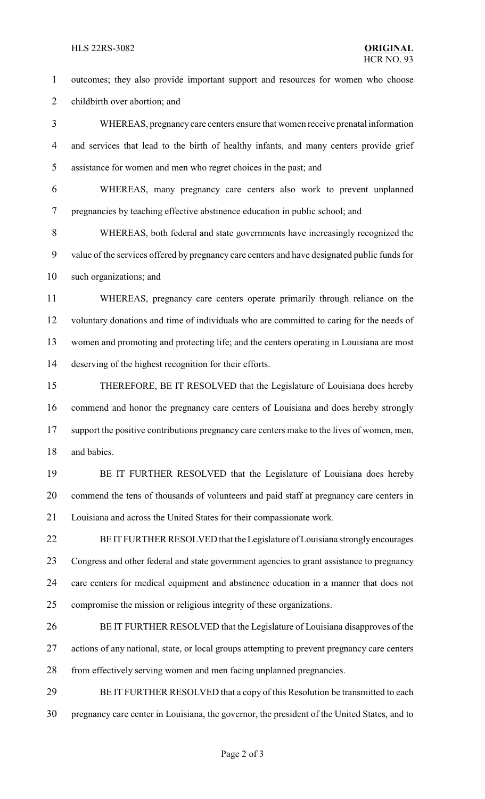#### HLS 22RS-3082 **ORIGINAL**

 outcomes; they also provide important support and resources for women who choose childbirth over abortion; and

- WHEREAS, pregnancy care centers ensure that women receive prenatal information and services that lead to the birth of healthy infants, and many centers provide grief assistance for women and men who regret choices in the past; and
- WHEREAS, many pregnancy care centers also work to prevent unplanned pregnancies by teaching effective abstinence education in public school; and
- WHEREAS, both federal and state governments have increasingly recognized the value of the services offered by pregnancy care centers and have designated public funds for such organizations; and
- WHEREAS, pregnancy care centers operate primarily through reliance on the voluntary donations and time of individuals who are committed to caring for the needs of women and promoting and protecting life; and the centers operating in Louisiana are most deserving of the highest recognition for their efforts.
- THEREFORE, BE IT RESOLVED that the Legislature of Louisiana does hereby commend and honor the pregnancy care centers of Louisiana and does hereby strongly 17 support the positive contributions pregnancy care centers make to the lives of women, men, and babies.
- BE IT FURTHER RESOLVED that the Legislature of Louisiana does hereby commend the tens of thousands of volunteers and paid staff at pregnancy care centers in Louisiana and across the United States for their compassionate work.
- BEIT FURTHER RESOLVED that the Legislature of Louisiana stronglyencourages Congress and other federal and state government agencies to grant assistance to pregnancy care centers for medical equipment and abstinence education in a manner that does not compromise the mission or religious integrity of these organizations.
- BE IT FURTHER RESOLVED that the Legislature of Louisiana disapproves of the 27 actions of any national, state, or local groups attempting to prevent pregnancy care centers from effectively serving women and men facing unplanned pregnancies.
- BE IT FURTHER RESOLVED that a copy of this Resolution be transmitted to each pregnancy care center in Louisiana, the governor, the president of the United States, and to